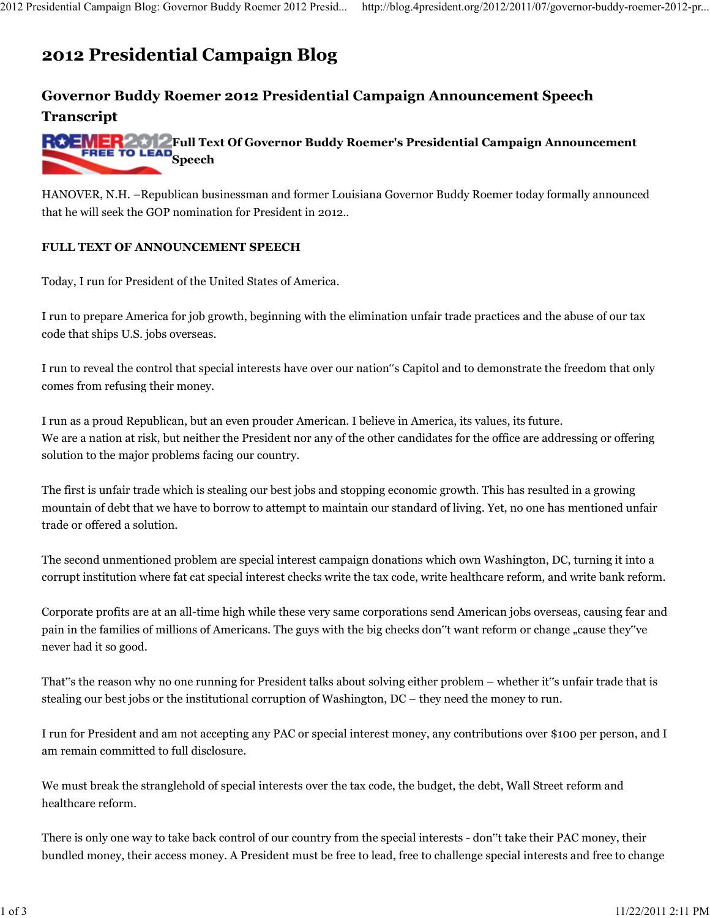## 2012 Presidential Campaign Blog

## Governor Buddy Roemer 2012 Presidential Campaign Announcement Speech Transcript



HANOVER, N.H. –Republican businessman and former Louisiana Governor Buddy Roemer today formally announced that he will seek the GOP nomination for President in 2012..

## FULL TEXT OF ANNOUNCEMENT SPEECH

Today, I run for President of the United States of America.

I run to prepare America for job growth, beginning with the elimination unfair trade practices and the abuse of our tax code that ships U.S. jobs overseas.

I run to reveal the control that special interests have over our nation"s Capitol and to demonstrate the freedom that only comes from refusing their money.

I run as a proud Republican, but an even prouder American. I believe in America, its values, its future. We are a nation at risk, but neither the President nor any of the other candidates for the office are addressing or offering solution to the major problems facing our country.

The first is unfair trade which is stealing our best jobs and stopping economic growth. This has resulted in a growing mountain of debt that we have to borrow to attempt to maintain our standard of living. Yet, no one has mentioned unfair trade or offered a solution.

The second unmentioned problem are special interest campaign donations which own Washington, DC, turning it into a corrupt institution where fat cat special interest checks write the tax code, write healthcare reform, and write bank reform.

Corporate profits are at an all-time high while these very same corporations send American jobs overseas, causing fear and pain in the families of millions of Americans. The guys with the big checks don"t want reform or change "cause they"ve never had it so good.

That"s the reason why no one running for President talks about solving either problem – whether it"s unfair trade that is stealing our best jobs or the institutional corruption of Washington, DC – they need the money to run.

I run for President and am not accepting any PAC or special interest money, any contributions over \$100 per person, and I am remain committed to full disclosure.

We must break the stranglehold of special interests over the tax code, the budget, the debt, Wall Street reform and healthcare reform.

There is only one way to take back control of our country from the special interests - don"t take their PAC money, their bundled money, their access money. A President must be free to lead, free to challenge special interests and free to change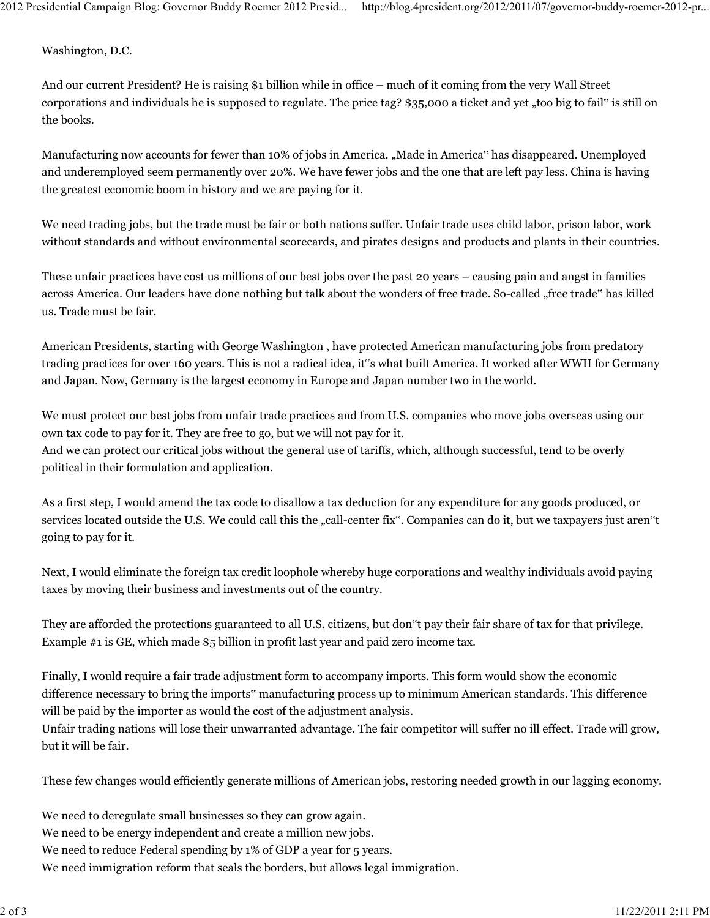Washington, D.C.

And our current President? He is raising \$1 billion while in office – much of it coming from the very Wall Street corporations and individuals he is supposed to regulate. The price tag? \$35,000 a ticket and yet "too big to fail" is still on the books.

Manufacturing now accounts for fewer than 10% of jobs in America. "Made in America" has disappeared. Unemployed and underemployed seem permanently over 20%. We have fewer jobs and the one that are left pay less. China is having the greatest economic boom in history and we are paying for it.

We need trading jobs, but the trade must be fair or both nations suffer. Unfair trade uses child labor, prison labor, work without standards and without environmental scorecards, and pirates designs and products and plants in their countries.

These unfair practices have cost us millions of our best jobs over the past 20 years – causing pain and angst in families across America. Our leaders have done nothing but talk about the wonders of free trade. So-called "free trade" has killed us. Trade must be fair.

American Presidents, starting with George Washington , have protected American manufacturing jobs from predatory trading practices for over 160 years. This is not a radical idea, it"s what built America. It worked after WWII for Germany and Japan. Now, Germany is the largest economy in Europe and Japan number two in the world.

We must protect our best jobs from unfair trade practices and from U.S. companies who move jobs overseas using our own tax code to pay for it. They are free to go, but we will not pay for it. And we can protect our critical jobs without the general use of tariffs, which, although successful, tend to be overly political in their formulation and application.

As a first step, I would amend the tax code to disallow a tax deduction for any expenditure for any goods produced, or services located outside the U.S. We could call this the "call-center fix". Companies can do it, but we taxpayers just aren"t going to pay for it.

Next, I would eliminate the foreign tax credit loophole whereby huge corporations and wealthy individuals avoid paying taxes by moving their business and investments out of the country.

They are afforded the protections guaranteed to all U.S. citizens, but don"t pay their fair share of tax for that privilege. Example #1 is GE, which made \$5 billion in profit last year and paid zero income tax.

Finally, I would require a fair trade adjustment form to accompany imports. This form would show the economic difference necessary to bring the imports" manufacturing process up to minimum American standards. This difference will be paid by the importer as would the cost of the adjustment analysis.

Unfair trading nations will lose their unwarranted advantage. The fair competitor will suffer no ill effect. Trade will grow, but it will be fair.

These few changes would efficiently generate millions of American jobs, restoring needed growth in our lagging economy.

We need to deregulate small businesses so they can grow again. We need to be energy independent and create a million new jobs. We need to reduce Federal spending by 1% of GDP a year for 5 years. We need immigration reform that seals the borders, but allows legal immigration.